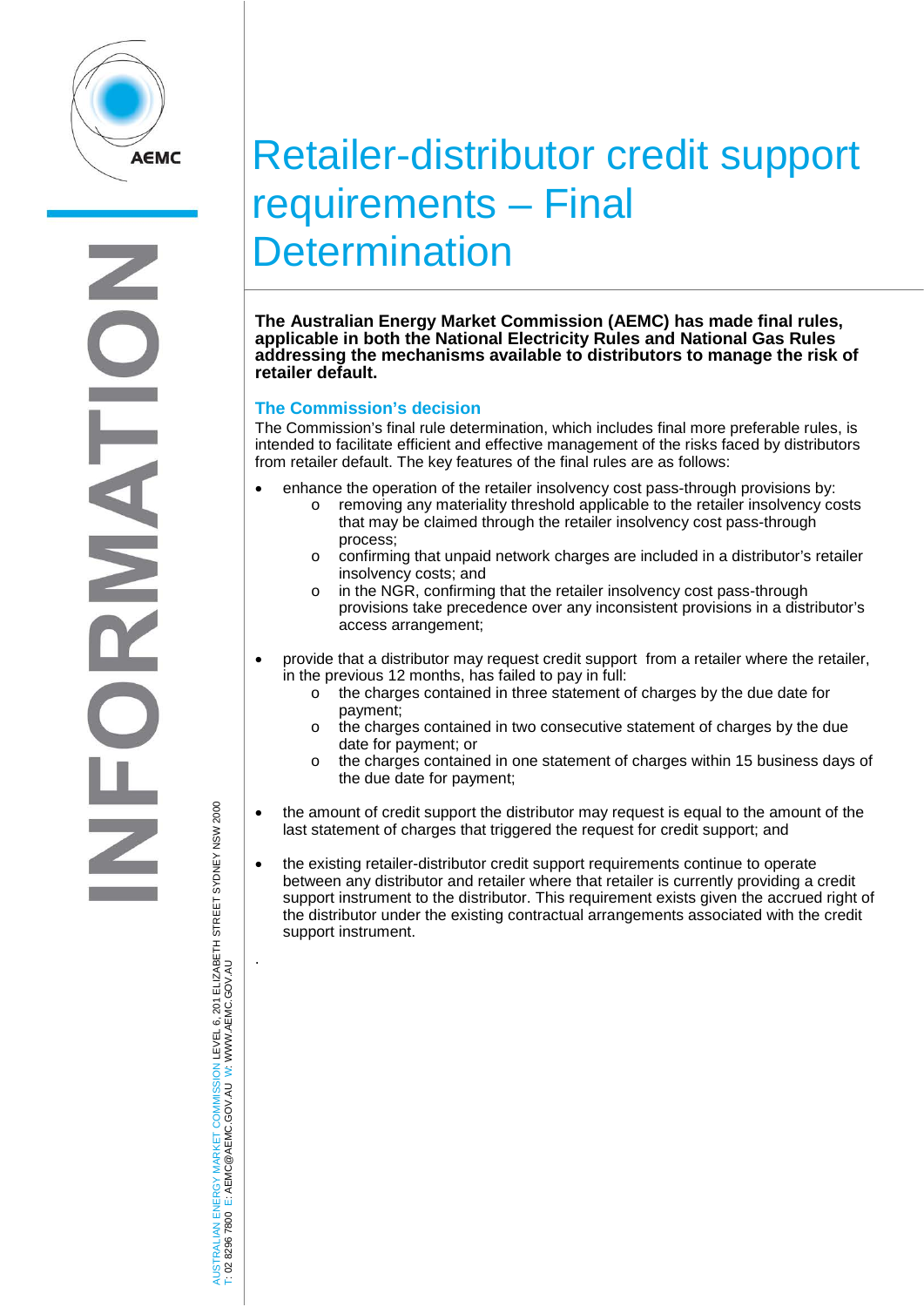

# Retailer-distributor credit support requirements – Final **Determination**

**The Australian Energy Market Commission (AEMC) has made final rules, applicable in both the National Electricity Rules and National Gas Rules addressing the mechanisms available to distributors to manage the risk of retailer default.**

## **The Commission's decision**

The Commission's final rule determination, which includes final more preferable rules, is intended to facilitate efficient and effective management of the risks faced by distributors from retailer default. The key features of the final rules are as follows:

- enhance the operation of the retailer insolvency cost pass-through provisions by:
	- o removing any materiality threshold applicable to the retailer insolvency costs that may be claimed through the retailer insolvency cost pass-through process;
	- o confirming that unpaid network charges are included in a distributor's retailer insolvency costs; and
	- o in the NGR, confirming that the retailer insolvency cost pass-through provisions take precedence over any inconsistent provisions in a distributor's access arrangement;
- provide that a distributor may request credit support from a retailer where the retailer, in the previous 12 months, has failed to pay in full:
	- $\circ$  the charges contained in three statement of charges by the due date for payment;
	- o the charges contained in two consecutive statement of charges by the due date for payment; or
	- o the charges contained in one statement of charges within 15 business days of the due date for payment;
- the amount of credit support the distributor may request is equal to the amount of the last statement of charges that triggered the request for credit support; and
- the existing retailer-distributor credit support requirements continue to operate between any distributor and retailer where that retailer is currently providing a credit support instrument to the distributor. This requirement exists given the accrued right of the distributor under the existing contractual arrangements associated with the credit support instrument.

AUSTRALIAN ENERGY MARKET COMMISSION LEVEL 6, 201 ELIZABETH STREET SYDNEY NSW 2000 TRALIAN ENERGY MARKET COMMISSION LEVEL 6, 201 ELIZABETH STREET SYDNEY NSW 2000<br>8296 7800 E: AEMC@AEMC.GOV.AU W: WWW.AEMC.GOV.AU W: WWW.AEMC.GOV.AU T: 02 8296 7800 E: AEMC@AEMC.GOV.AU

**ISL** i si .